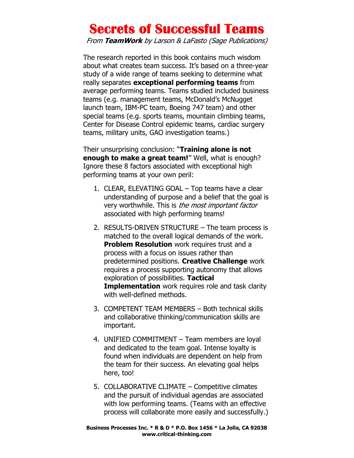## Secrets of Successful Teams

From TeamWork by Larson & LaFasto (Sage Publications)

The research reported in this book contains much wisdom about what creates team success. It's based on a three-year study of a wide range of teams seeking to determine what really separates exceptional performing teams from average performing teams. Teams studied included business teams (e.g. management teams, McDonald's McNugget launch team, IBM-PC team, Boeing 747 team) and other special teams (e.g. sports teams, mountain climbing teams, Center for Disease Control epidemic teams, cardiac surgery teams, military units, GAO investigation teams.)

Their unsurprising conclusion: "Training alone is not enough to make a great team!" Well, what is enough? Ignore these 8 factors associated with exceptional high performing teams at your own peril:

- 1. CLEAR, ELEVATING GOAL Top teams have a clear understanding of purpose and a belief that the goal is very worthwhile. This is the most important factor associated with high performing teams!
- 2. RESULTS-DRIVEN STRUCTURE The team process is matched to the overall logical demands of the work. **Problem Resolution** work requires trust and a process with a focus on issues rather than predetermined positions. Creative Challenge work requires a process supporting autonomy that allows exploration of possibilities. Tactical **Implementation** work requires role and task clarity with well-defined methods.
- 3. COMPETENT TEAM MEMBERS Both technical skills and collaborative thinking/communication skills are important.
- 4. UNIFIED COMMITMENT Team members are loyal and dedicated to the team goal. Intense loyalty is found when individuals are dependent on help from the team for their success. An elevating goal helps here, too!
- 5. COLLABORATIVE CLIMATE Competitive climates and the pursuit of individual agendas are associated with low performing teams. (Teams with an effective process will collaborate more easily and successfully.)